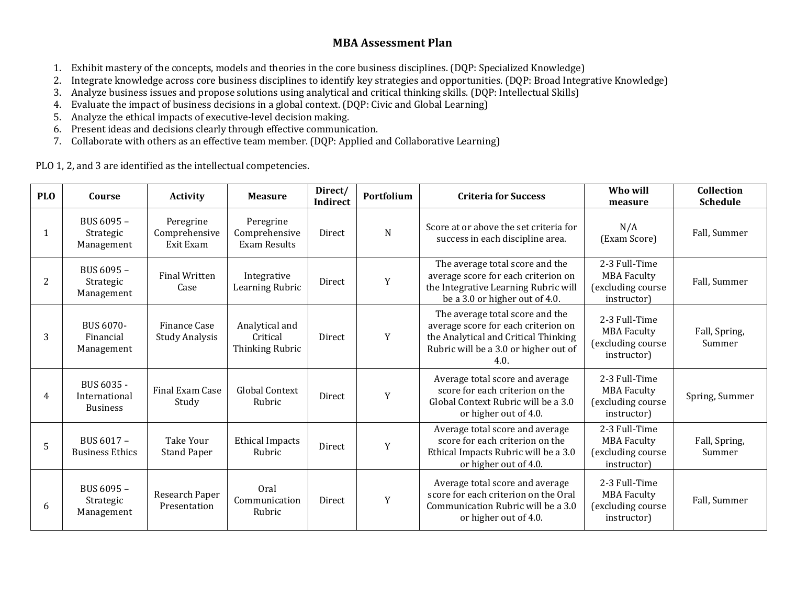# **MBA Assessment Plan**

- 1. Exhibit mastery of the concepts, models and theories in the core business disciplines. (DQP: Specialized Knowledge)
- 2. Integrate knowledge across core business disciplines to identify key strategies and opportunities. (DQP: Broad Integrative Knowledge)
- 3. Analyze business issues and propose solutions using analytical and critical thinking skills. (DQP: Intellectual Skills)
- 4. Evaluate the impact of business decisions in a global context. (DQP: Civic and Global Learning)
- 5. Analyze the ethical impacts of executive-level decision making.
- 6. Present ideas and decisions clearly through effective communication.
- 7. Collaborate with others as an effective team member. (DQP: Applied and Collaborative Learning)

PLO 1, 2, and 3 are identified as the intellectual competencies.

| <b>PLO</b>     | Course                                         | <b>Activity</b>                         | <b>Measure</b>                                    | Direct/<br>Indirect | Portfolium | <b>Criteria for Success</b>                                                                                                                                     | Who will<br>measure                                                     | Collection<br><b>Schedule</b> |
|----------------|------------------------------------------------|-----------------------------------------|---------------------------------------------------|---------------------|------------|-----------------------------------------------------------------------------------------------------------------------------------------------------------------|-------------------------------------------------------------------------|-------------------------------|
| 1              | BUS 6095 -<br>Strategic<br>Management          | Peregrine<br>Comprehensive<br>Exit Exam | Peregrine<br>Comprehensive<br><b>Exam Results</b> | Direct              | N          | Score at or above the set criteria for<br>success in each discipline area.                                                                                      | N/A<br>(Exam Score)                                                     | Fall, Summer                  |
| $\overline{2}$ | BUS 6095 -<br>Strategic<br>Management          | <b>Final Written</b><br>Case            | Integrative<br>Learning Rubric                    | <b>Direct</b>       | Y          | The average total score and the<br>average score for each criterion on<br>the Integrative Learning Rubric will<br>be a 3.0 or higher out of 4.0.                | 2-3 Full-Time<br><b>MBA Faculty</b><br>(excluding course<br>instructor) | Fall, Summer                  |
| 3              | BUS 6070-<br>Financial<br>Management           | Finance Case<br><b>Study Analysis</b>   | Analytical and<br>Critical<br>Thinking Rubric     | Direct              | Y          | The average total score and the<br>average score for each criterion on<br>the Analytical and Critical Thinking<br>Rubric will be a 3.0 or higher out of<br>4.0. | 2-3 Full-Time<br><b>MBA Faculty</b><br>(excluding course<br>instructor) | Fall, Spring,<br>Summer       |
| 4              | BUS 6035 -<br>International<br><b>Business</b> | Final Exam Case<br>Study                | Global Context<br>Rubric                          | Direct              | Y          | Average total score and average<br>score for each criterion on the<br>Global Context Rubric will be a 3.0<br>or higher out of 4.0.                              | 2-3 Full-Time<br><b>MBA Faculty</b><br>(excluding course<br>instructor) | Spring, Summer                |
| 5              | BUS 6017 -<br><b>Business Ethics</b>           | Take Your<br><b>Stand Paper</b>         | <b>Ethical Impacts</b><br>Rubric                  | Direct              | Y          | Average total score and average<br>score for each criterion on the<br>Ethical Impacts Rubric will be a 3.0<br>or higher out of 4.0.                             | 2-3 Full-Time<br><b>MBA Faculty</b><br>(excluding course<br>instructor) | Fall, Spring,<br>Summer       |
| 6              | BUS 6095 -<br>Strategic<br>Management          | Research Paper<br>Presentation          | Oral<br>Communication<br>Rubric                   | Direct              | Y          | Average total score and average<br>score for each criterion on the Oral<br>Communication Rubric will be a 3.0<br>or higher out of 4.0.                          | 2-3 Full-Time<br><b>MBA Faculty</b><br>(excluding course<br>instructor) | Fall, Summer                  |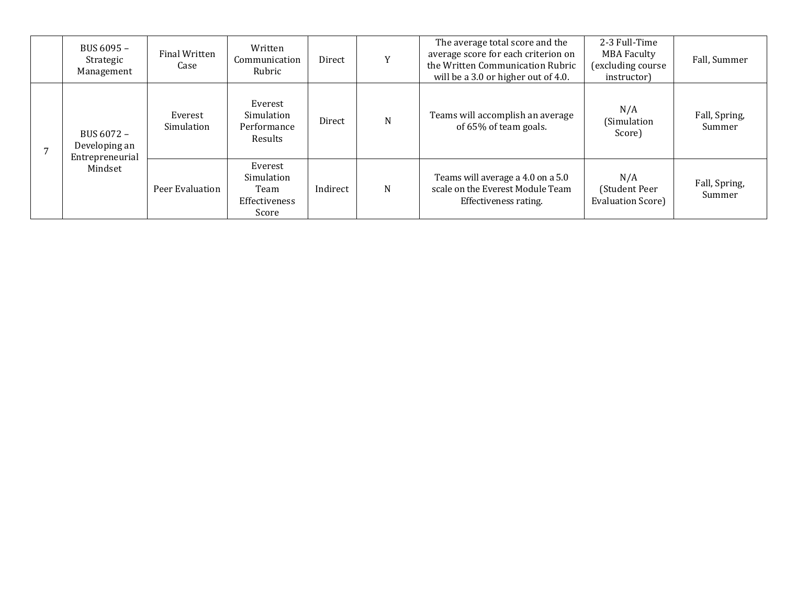| BUS 6095 -<br>Strategic<br>Management                     | Final Written<br>Case | Written<br>Communication<br>Rubric                      | Direct   |   | The average total score and the<br>average score for each criterion on<br>the Written Communication Rubric<br>will be a 3.0 or higher out of 4.0. | 2-3 Full-Time<br><b>MBA Faculty</b><br>(excluding course<br>instructor) | Fall, Summer            |
|-----------------------------------------------------------|-----------------------|---------------------------------------------------------|----------|---|---------------------------------------------------------------------------------------------------------------------------------------------------|-------------------------------------------------------------------------|-------------------------|
| BUS 6072 -<br>Developing an<br>Entrepreneurial<br>Mindset | Everest<br>Simulation | Everest<br>Simulation<br>Performance<br>Results         | Direct   | N | Teams will accomplish an average<br>of 65% of team goals.                                                                                         | N/A<br>(Simulation<br>Score)                                            | Fall, Spring,<br>Summer |
|                                                           | Peer Evaluation       | Everest<br>Simulation<br>Team<br>Effectiveness<br>Score | Indirect | N | Teams will average a 4.0 on a 5.0<br>scale on the Everest Module Team<br>Effectiveness rating.                                                    | N/A<br>(Student Peer<br><b>Evaluation Score)</b>                        | Fall, Spring,<br>Summer |